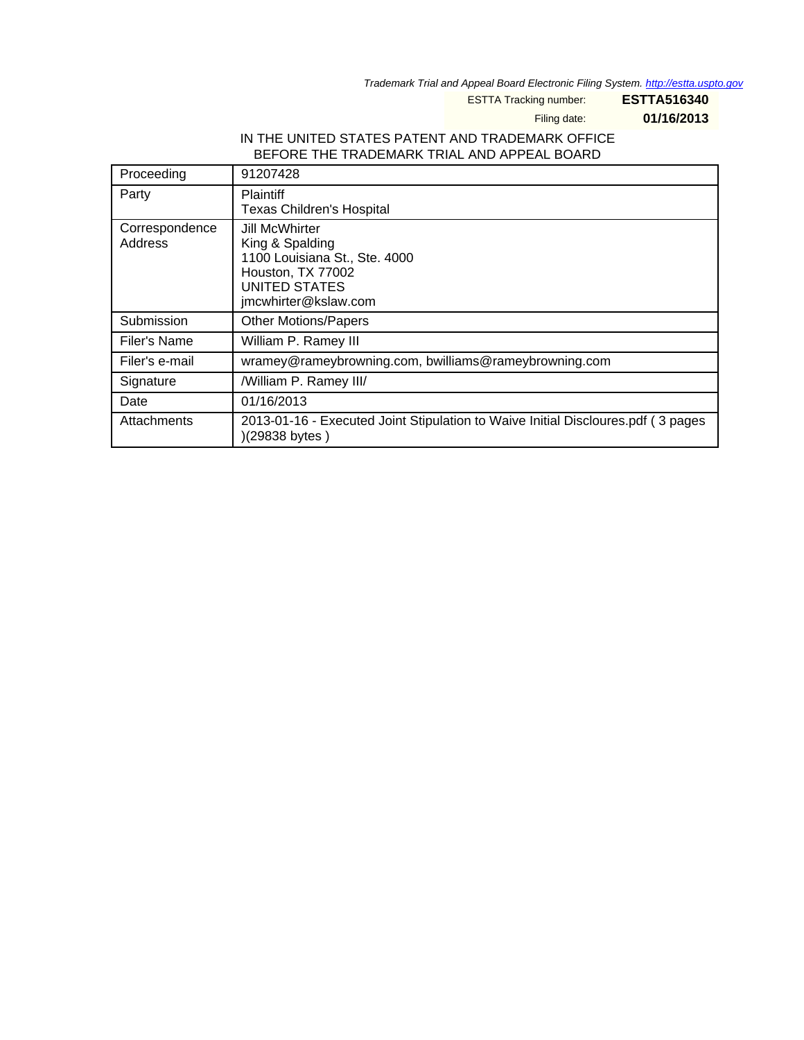Trademark Trial and Appeal Board Electronic Filing System. <http://estta.uspto.gov>

ESTTA Tracking number: **ESTTA516340**

Filing date: **01/16/2013**

### IN THE UNITED STATES PATENT AND TRADEMARK OFFICE BEFORE THE TRADEMARK TRIAL AND APPEAL BOARD

| Proceeding                | 91207428                                                                                                                                |
|---------------------------|-----------------------------------------------------------------------------------------------------------------------------------------|
| Party                     | <b>Plaintiff</b><br><b>Texas Children's Hospital</b>                                                                                    |
| Correspondence<br>Address | Jill McWhirter<br>King & Spalding<br>1100 Louisiana St., Ste. 4000<br>Houston, TX 77002<br><b>UNITED STATES</b><br>jmcwhirter@kslaw.com |
| Submission                | <b>Other Motions/Papers</b>                                                                                                             |
| Filer's Name              | William P. Ramey III                                                                                                                    |
| Filer's e-mail            | wramey@rameybrowning.com, bwilliams@rameybrowning.com                                                                                   |
| Signature                 | /William P. Ramey III/                                                                                                                  |
| Date                      | 01/16/2013                                                                                                                              |
| <b>Attachments</b>        | 2013-01-16 - Executed Joint Stipulation to Waive Initial Discloures.pdf (3 pages)<br>)(29838 bytes)                                     |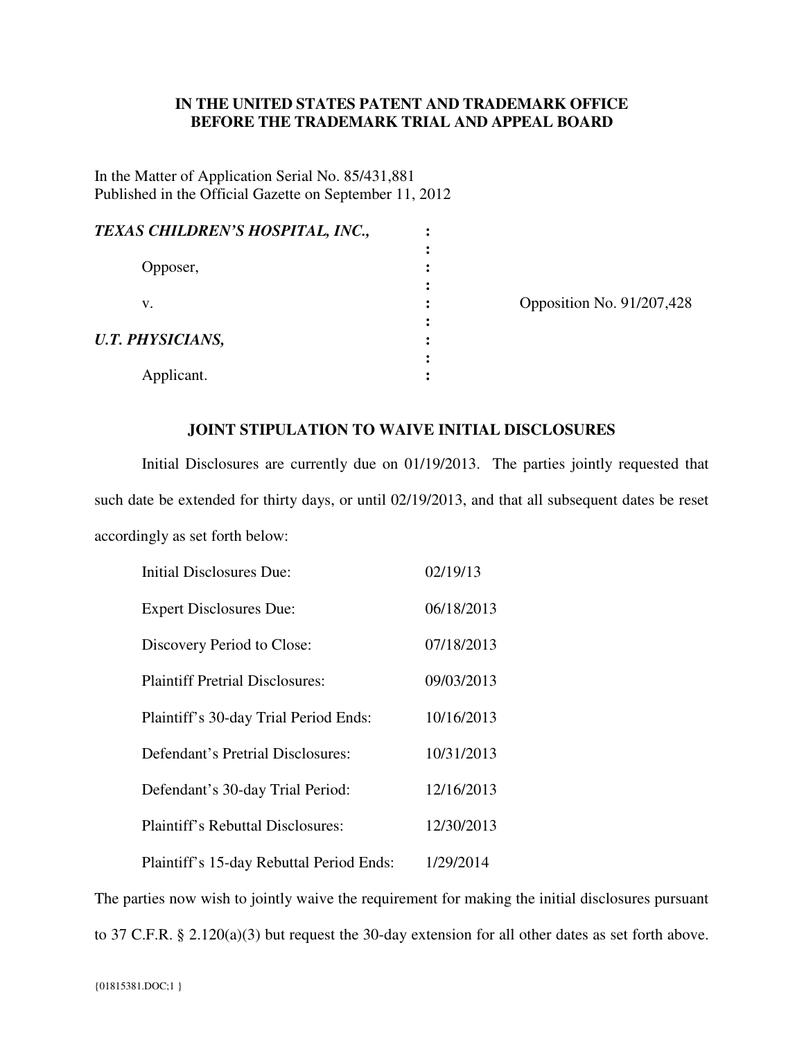# **IN THE UNITED STATES PATENT AND TRADEMARK OFFICE BEFORE THE TRADEMARK TRIAL AND APPEAL BOARD**

In the Matter of Application Serial No. 85/431,881 Published in the Official Gazette on September 11, 2012

| TEXAS CHILDREN'S HOSPITAL, INC., |  |
|----------------------------------|--|
|                                  |  |
| Opposer,                         |  |
|                                  |  |
| v.                               |  |
|                                  |  |
| <b>U.T. PHYSICIANS,</b>          |  |
|                                  |  |
| Applicant.                       |  |

position No. 91/207,428

### **JOINT STIPULATION TO WAIVE INITIAL DISCLOSURES**

Initial Disclosures are currently due on 01/19/2013. The parties jointly requested that such date be extended for thirty days, or until 02/19/2013, and that all subsequent dates be reset accordingly as set forth below:

| <b>Initial Disclosures Due:</b>          | 02/19/13   |
|------------------------------------------|------------|
| <b>Expert Disclosures Due:</b>           | 06/18/2013 |
| Discovery Period to Close:               | 07/18/2013 |
| <b>Plaintiff Pretrial Disclosures:</b>   | 09/03/2013 |
| Plaintiff's 30-day Trial Period Ends:    | 10/16/2013 |
| Defendant's Pretrial Disclosures:        | 10/31/2013 |
| Defendant's 30-day Trial Period:         | 12/16/2013 |
| <b>Plaintiff's Rebuttal Disclosures:</b> | 12/30/2013 |
| Plaintiff's 15-day Rebuttal Period Ends: | 1/29/2014  |

The parties now wish to jointly waive the requirement for making the initial disclosures pursuant to 37 C.F.R. § 2.120(a)(3) but request the 30-day extension for all other dates as set forth above.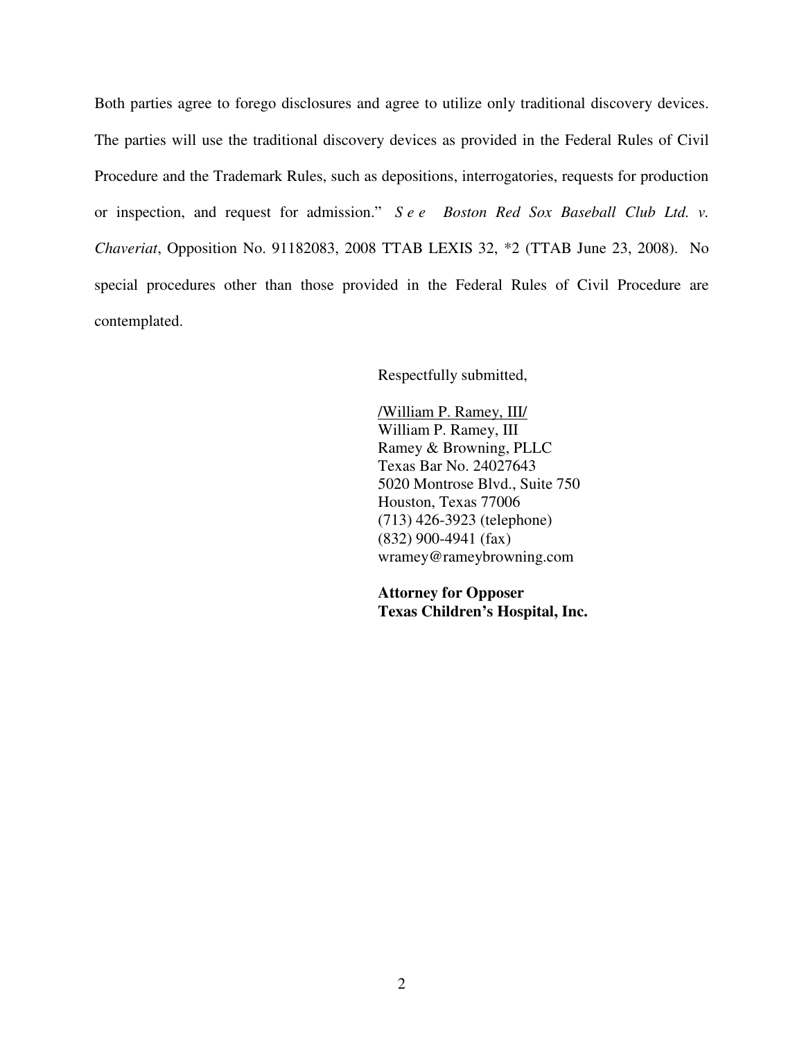Both parties agree to forego disclosures and agree to utilize only traditional discovery devices. The parties will use the traditional discovery devices as provided in the Federal Rules of Civil Procedure and the Trademark Rules, such as depositions, interrogatories, requests for production or inspection, and request for admission." *S e e Boston Red Sox Baseball Club Ltd. v. Chaveriat*, Opposition No. 91182083, 2008 TTAB LEXIS 32, \*2 (TTAB June 23, 2008). No special procedures other than those provided in the Federal Rules of Civil Procedure are contemplated.

Respectfully submitted,

 /William P. Ramey, III/ William P. Ramey, III Ramey & Browning, PLLC Texas Bar No. 24027643 5020 Montrose Blvd., Suite 750 Houston, Texas 77006 (713) 426-3923 (telephone) (832) 900-4941 (fax) wramey@rameybrowning.com

**Attorney for Opposer Texas Children's Hospital, Inc.**